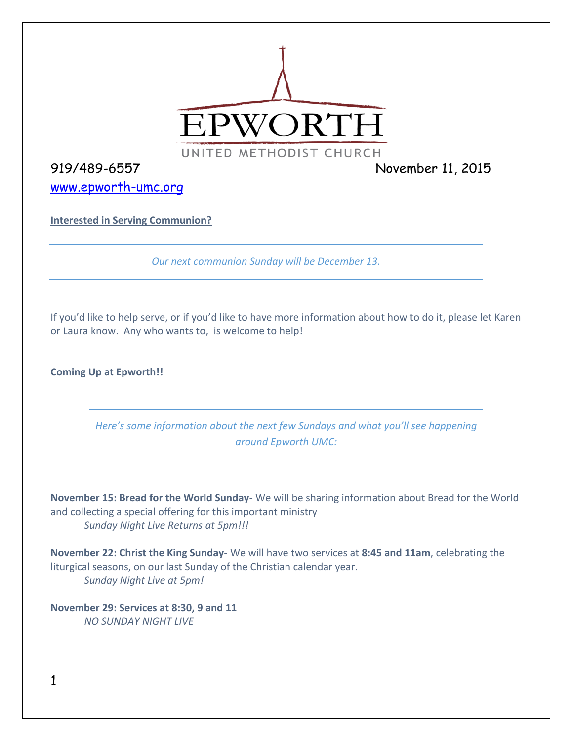

[www.epworth-umc.org](http://www.epworth-umc.org/)

919/489-6557 November 11, 2015

**Interested in Serving Communion?**

*Our next communion Sunday will be December 13.*

If you'd like to help serve, or if you'd like to have more information about how to do it, please let Karen or Laura know. Any who wants to, is welcome to help!

**Coming Up at Epworth!!**

*Here's some information about the next few Sundays and what you'll see happening around Epworth UMC:*

**November 15: Bread for the World Sunday-** We will be sharing information about Bread for the World and collecting a special offering for this important ministry *Sunday Night Live Returns at 5pm!!!*

**November 22: Christ the King Sunday-** We will have two services at **8:45 and 11am**, celebrating the liturgical seasons, on our last Sunday of the Christian calendar year. *Sunday Night Live at 5pm!*

**November 29: Services at 8:30, 9 and 11** *NO SUNDAY NIGHT LIVE*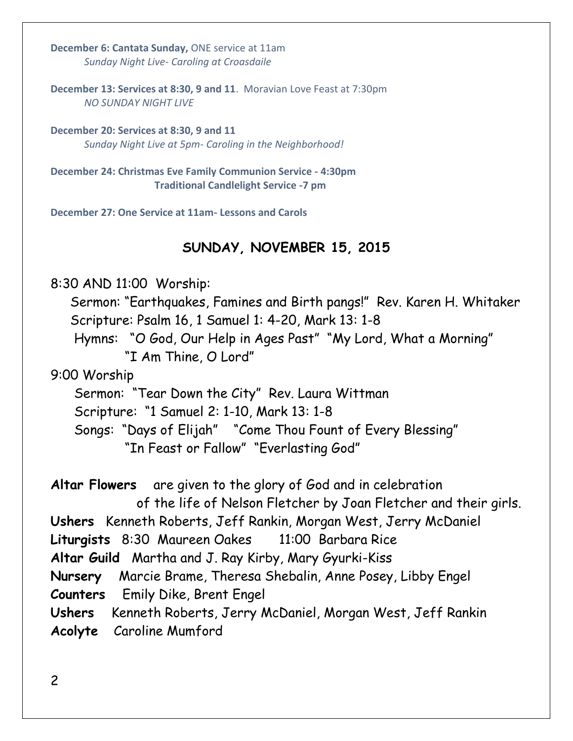**December 6: Cantata Sunday,** ONE service at 11am *Sunday Night Live- Caroling at Croasdaile*

**December 13: Services at 8:30, 9 and 11**. Moravian Love Feast at 7:30pm *NO SUNDAY NIGHT LIVE*

**December 20: Services at 8:30, 9 and 11** *Sunday Night Live at 5pm- Caroling in the Neighborhood!*

**December 24: Christmas Eve Family Communion Service - 4:30pm Traditional Candlelight Service -7 pm**

**December 27: One Service at 11am- Lessons and Carols**

# **SUNDAY, NOVEMBER 15, 2015**

8:30 AND 11:00 Worship: Sermon: "Earthquakes, Famines and Birth pangs!" Rev. Karen H. Whitaker Scripture: Psalm 16, 1 Samuel 1: 4-20, Mark 13: 1-8 Hymns: "O God, Our Help in Ages Past" "My Lord, What a Morning" "I Am Thine, O Lord" 9:00 Worship Sermon: "Tear Down the City" Rev. Laura Wittman Scripture: "1 Samuel 2: 1-10, Mark 13: 1-8 Songs: "Days of Elijah" "Come Thou Fount of Every Blessing" "In Feast or Fallow" "Everlasting God" **Altar Flowers** are given to the glory of God and in celebration of the life of Nelson Fletcher by Joan Fletcher and their girls. **Ushers** Kenneth Roberts, Jeff Rankin, Morgan West, Jerry McDaniel **Liturgists** 8:30 Maureen Oakes 11:00 Barbara Rice **Altar Guild** Martha and J. Ray Kirby, Mary Gyurki-Kiss **Nursery** Marcie Brame, Theresa Shebalin, Anne Posey, Libby Engel **Counters** Emily Dike, Brent Engel **Ushers** Kenneth Roberts, Jerry McDaniel, Morgan West, Jeff Rankin **Acolyte** Caroline Mumford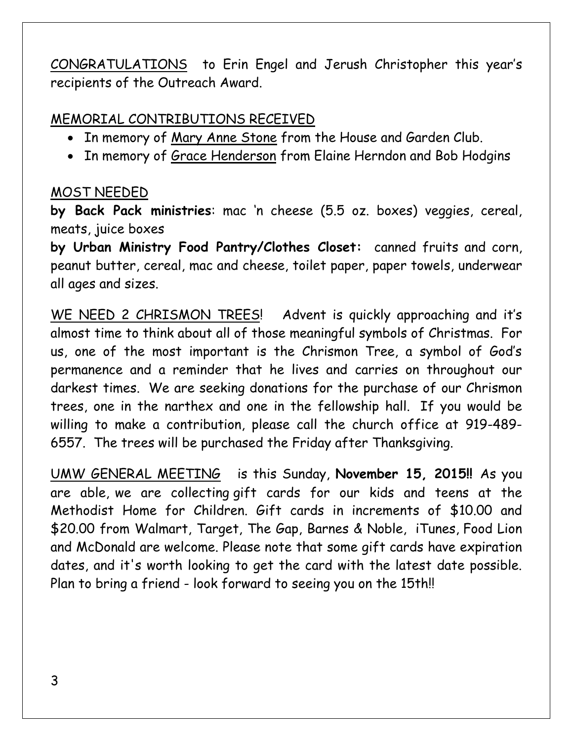CONGRATULATIONS to Erin Engel and Jerush Christopher this year's recipients of the Outreach Award.

# MEMORIAL CONTRIBUTIONS RECEIVED

- In memory of Mary Anne Stone from the House and Garden Club.
- In memory of Grace Henderson from Elaine Herndon and Bob Hodgins

# MOST NEEDED

**by Back Pack ministries**: mac 'n cheese (5.5 oz. boxes) veggies, cereal, meats, juice boxes

**by Urban Ministry Food Pantry/Clothes Closet:** canned fruits and corn, peanut butter, cereal, mac and cheese, toilet paper, paper towels, underwear all ages and sizes.

WE NEED 2 CHRISMON TREES! Advent is quickly approaching and it's almost time to think about all of those meaningful symbols of Christmas. For us, one of the most important is the Chrismon Tree, a symbol of God's permanence and a reminder that he lives and carries on throughout our darkest times. We are seeking donations for the purchase of our Chrismon trees, one in the narthex and one in the fellowship hall. If you would be willing to make a contribution, please call the church office at 919-489- 6557. The trees will be purchased the Friday after Thanksgiving.

UMW GENERAL MEETING is this Sunday, **November 15, 2015!!** As you are able, we are collecting gift cards for our kids and teens at the Methodist Home for Children. Gift cards in increments of \$10.00 and \$20.00 from Walmart, Target, The Gap, Barnes & Noble, iTunes, Food Lion and McDonald are welcome. Please note that some gift cards have expiration dates, and it's worth looking to get the card with the latest date possible. Plan to bring a friend - look forward to seeing you on the 15th!!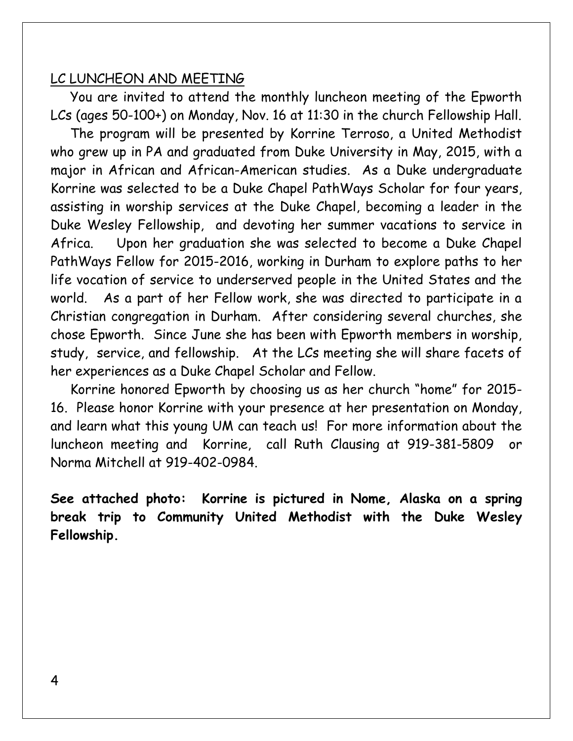#### LC LUNCHEON AND MEETING

 You are invited to attend the monthly luncheon meeting of the Epworth LCs (ages 50-100+) on Monday, Nov. 16 at 11:30 in the church Fellowship Hall.

 The program will be presented by Korrine Terroso, a United Methodist who grew up in PA and graduated from Duke University in May, 2015, with a major in African and African-American studies. As a Duke undergraduate Korrine was selected to be a Duke Chapel PathWays Scholar for four years, assisting in worship services at the Duke Chapel, becoming a leader in the Duke Wesley Fellowship, and devoting her summer vacations to service in Africa. Upon her graduation she was selected to become a Duke Chapel PathWays Fellow for 2015-2016, working in Durham to explore paths to her life vocation of service to underserved people in the United States and the world. As a part of her Fellow work, she was directed to participate in a Christian congregation in Durham. After considering several churches, she chose Epworth. Since June she has been with Epworth members in worship, study, service, and fellowship. At the LCs meeting she will share facets of her experiences as a Duke Chapel Scholar and Fellow.

 Korrine honored Epworth by choosing us as her church "home" for 2015- 16. Please honor Korrine with your presence at her presentation on Monday, and learn what this young UM can teach us! For more information about the luncheon meeting and Korrine, call Ruth Clausing at 919-381-5809 or Norma Mitchell at 919-402-0984.

**See attached photo: Korrine is pictured in Nome, Alaska on a spring break trip to Community United Methodist with the Duke Wesley Fellowship.**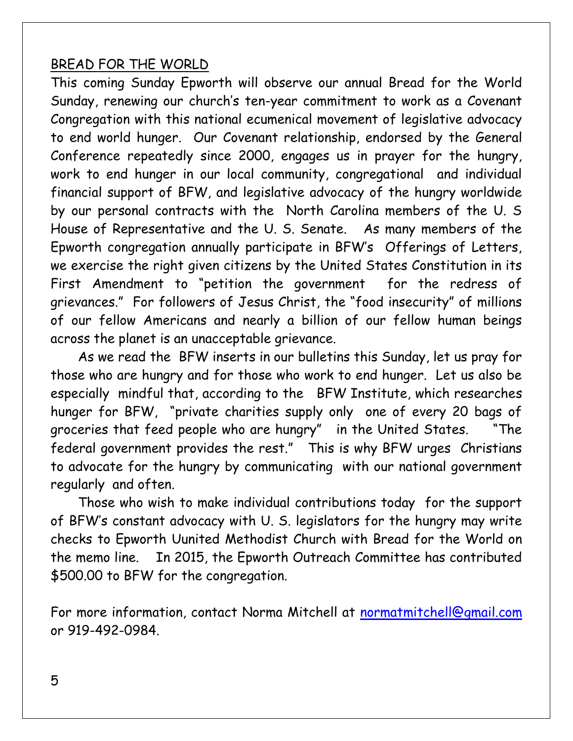### BREAD FOR THE WORLD

This coming Sunday Epworth will observe our annual Bread for the World Sunday, renewing our church's ten-year commitment to work as a Covenant Congregation with this national ecumenical movement of legislative advocacy to end world hunger. Our Covenant relationship, endorsed by the General Conference repeatedly since 2000, engages us in prayer for the hungry, work to end hunger in our local community, congregational and individual financial support of BFW, and legislative advocacy of the hungry worldwide by our personal contracts with the North Carolina members of the U. S House of Representative and the U. S. Senate. As many members of the Epworth congregation annually participate in BFW's Offerings of Letters, we exercise the right given citizens by the United States Constitution in its First Amendment to "petition the government for the redress of grievances." For followers of Jesus Christ, the "food insecurity" of millions of our fellow Americans and nearly a billion of our fellow human beings across the planet is an unacceptable grievance.

 As we read the BFW inserts in our bulletins this Sunday, let us pray for those who are hungry and for those who work to end hunger. Let us also be especially mindful that, according to the BFW Institute, which researches hunger for BFW, "private charities supply only one of every 20 bags of groceries that feed people who are hungry" in the United States. "The federal government provides the rest." This is why BFW urges Christians to advocate for the hungry by communicating with our national government regularly and often.

 Those who wish to make individual contributions today for the support of BFW's constant advocacy with U. S. legislators for the hungry may write checks to Epworth Uunited Methodist Church with Bread for the World on the memo line. In 2015, the Epworth Outreach Committee has contributed \$500.00 to BFW for the congregation.

For more information, contact Norma Mitchell at [normatmitchell@gmail.com](mailto:normatmitchell@gmail.com) or 919-492-0984.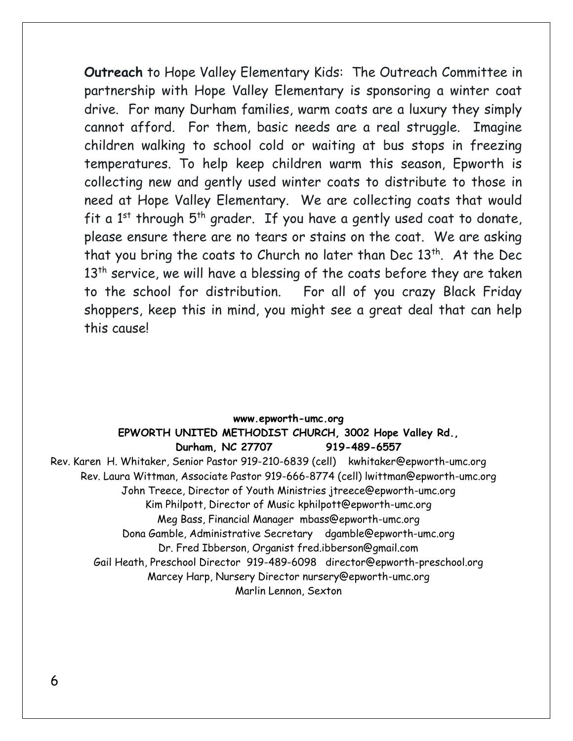**Outreach** to Hope Valley Elementary Kids: The Outreach Committee in partnership with Hope Valley Elementary is sponsoring a winter coat drive. For many Durham families, warm coats are a luxury they simply cannot afford. For them, basic needs are a real struggle. Imagine children walking to school cold or waiting at bus stops in freezing temperatures. To help keep children warm this season, Epworth is collecting new and gently used winter coats to distribute to those in need at Hope Valley Elementary. We are collecting coats that would fit a  $1^{st}$  through  $5^{th}$  grader. If you have a gently used coat to donate, please ensure there are no tears or stains on the coat. We are asking that you bring the coats to Church no later than Dec  $13<sup>th</sup>$ . At the Dec  $13<sup>th</sup>$  service, we will have a blessing of the coats before they are taken to the school for distribution. For all of you crazy Black Friday shoppers, keep this in mind, you might see a great deal that can help this cause!

#### **www.epworth-umc.org EPWORTH UNITED METHODIST CHURCH, 3002 Hope Valley Rd., Durham, NC 27707 919-489-6557** Rev. Karen H. Whitaker, Senior Pastor 919-210-6839 (cell) kwhitaker@epworth-umc.org Rev. Laura Wittman, Associate Pastor 919-666-8774 (cell) lwittman@epworth-umc.org John Treece, Director of Youth Ministries jtreece@epworth-umc.org Kim Philpott, Director of Music kphilpott@epworth-umc.org Meg Bass, Financial Manager mbass@epworth-umc.org Dona Gamble, Administrative Secretary dgamble@epworth-umc.org Dr. Fred Ibberson, Organist fred.ibberson@gmail.com Gail Heath, Preschool Director 919-489-6098 director@epworth-preschool.org Marcey Harp, Nursery Director nursery@epworth-umc.org Marlin Lennon, Sexton